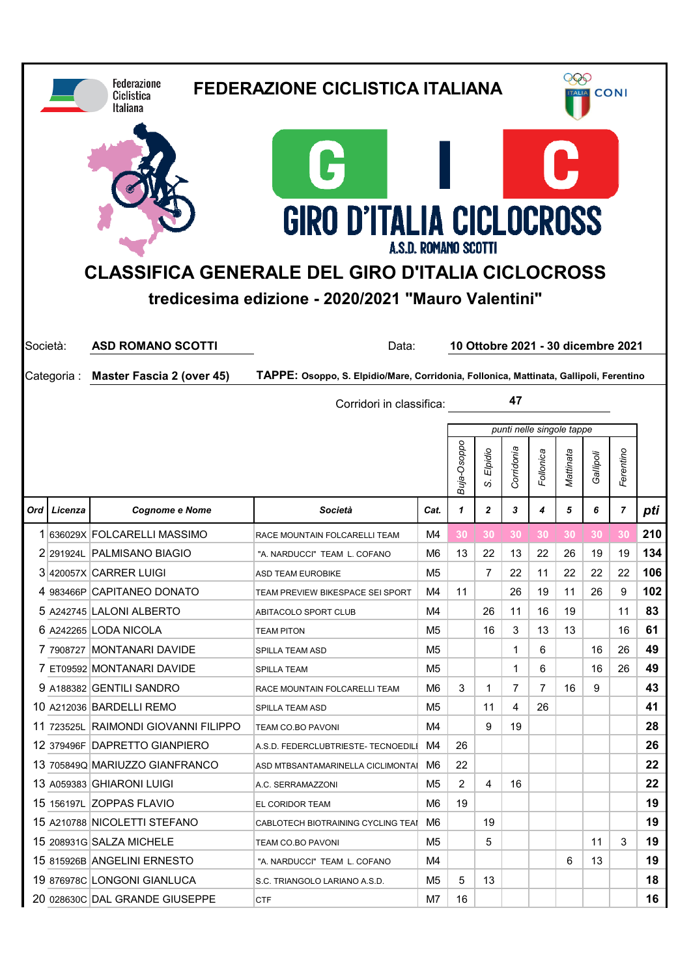|                                      |             | <b>Federazione</b><br>Ciclistica<br><b>Italiana</b>             | <b>FEDERAZIONE CICLISTICA ITALIANA</b>                                                                                                                                        |          |              |                |                                    | 000<br><b>CONI</b><br><b>ALIA</b> |           |           |                |          |  |
|--------------------------------------|-------------|-----------------------------------------------------------------|-------------------------------------------------------------------------------------------------------------------------------------------------------------------------------|----------|--------------|----------------|------------------------------------|-----------------------------------|-----------|-----------|----------------|----------|--|
|                                      |             |                                                                 | G<br><b>GIRO D'ITALIA CICLOCROSS</b><br>A.S.D. ROMANO SCOTTI<br><b>CLASSIFICA GENERALE DEL GIRO D'ITALIA CICLOCROSS</b><br>tredicesima edizione - 2020/2021 "Mauro Valentini" |          |              |                |                                    |                                   | J.        |           |                |          |  |
| Società:<br><b>ASD ROMANO SCOTTI</b> |             |                                                                 | Data:                                                                                                                                                                         |          |              |                | 10 Ottobre 2021 - 30 dicembre 2021 |                                   |           |           |                |          |  |
|                                      | Categoria : | <b>Master Fascia 2 (over 45)</b>                                | TAPPE: Osoppo, S. Elpidio/Mare, Corridonia, Follonica, Mattinata, Gallipoli, Ferentino                                                                                        |          |              |                |                                    |                                   |           |           |                |          |  |
|                                      |             |                                                                 | Corridori in classifica:                                                                                                                                                      |          |              |                | 47                                 |                                   |           |           |                |          |  |
|                                      |             |                                                                 |                                                                                                                                                                               |          |              |                | punti nelle singole tappe          |                                   |           |           |                |          |  |
|                                      |             |                                                                 |                                                                                                                                                                               |          | Buja-Osoppo  | Elpidio<br>S,  | Corridonia                         | Follonica                         | Mattinata | Gallipoli | Ferentino      |          |  |
| Ord                                  | Licenza     | <b>Cognome e Nome</b>                                           | Società                                                                                                                                                                       |          | $\mathbf{1}$ | $\overline{2}$ | 3                                  | 4                                 | 5         | 6         | $\overline{7}$ | pti      |  |
|                                      |             |                                                                 |                                                                                                                                                                               | Cat.     |              |                |                                    |                                   |           |           |                |          |  |
|                                      |             | 1 636029X FOLCARELLI MASSIMO                                    | RACE MOUNTAIN FOLCARELLI TEAM                                                                                                                                                 | M4       | 30           | 30             | 30                                 | 30                                | 30        | 30        | 30             | 210      |  |
|                                      |             | 2 291924L PALMISANO BIAGIO                                      | "A. NARDUCCI" TEAM L. COFANO                                                                                                                                                  | M6       | 13           | 22             | 13                                 | 22                                | 26        | 19        | 19             | 134      |  |
|                                      |             | 3 420057X CARRER LUIGI                                          | <b>ASD TEAM EUROBIKE</b>                                                                                                                                                      | M5       |              | 7              | 22                                 | 11                                | 22        | 22        | 22             | 106      |  |
|                                      |             | 4 983466P CAPITANEO DONATO                                      | TEAM PREVIEW BIKESPACE SEI SPORT                                                                                                                                              | M4       | 11           |                | 26                                 | 19                                | 11        | 26        | 9              | 102      |  |
|                                      |             | 5 A242745 LALONI ALBERTO                                        | ABITACOLO SPORT CLUB                                                                                                                                                          | M4       |              | 26             | 11                                 | 16                                | 19        |           | 11             | 83       |  |
|                                      |             | 6 A242265 LODA NICOLA                                           | <b>TEAM PITON</b>                                                                                                                                                             | M5.      |              | 16             | 3                                  | 13                                | 13        |           | 16             | 61       |  |
|                                      |             | 7 7908727 MONTANARI DAVIDE                                      | SPILLA TEAM ASD                                                                                                                                                               | M5       |              |                | 1                                  | 6                                 |           | 16        | 26             | 49       |  |
|                                      |             | 7 ET09592 MONTANARI DAVIDE                                      | SPILLA TEAM                                                                                                                                                                   | M5.      |              |                | 1                                  | 6                                 |           | 16        | 26             | 49       |  |
|                                      |             | 9 A188382 GENTILI SANDRO                                        | RACE MOUNTAIN FOLCARELLI TEAM                                                                                                                                                 | M6       | 3            | 1              | 7                                  | 7                                 | 16        | 9         |                | 43       |  |
|                                      |             | 10 A212036 BARDELLI REMO                                        | SPILLA TEAM ASD                                                                                                                                                               | M5       |              | 11             | 4                                  | 26                                |           |           |                | 41       |  |
|                                      |             | 11 723525L RAIMONDI GIOVANNI FILIPPO                            | TEAM CO.BO PAVONI                                                                                                                                                             | M4<br>M4 |              | 9              | 19                                 |                                   |           |           |                | 28       |  |
|                                      |             | 12 379496F DAPRETTO GIANPIERO<br>13 705849Q MARIUZZO GIANFRANCO | A.S.D. FEDERCLUBTRIESTE-TECNOEDILI<br>ASD MTBSANTAMARINELLA CICLIMONTAI                                                                                                       | M6       | 26<br>22     |                |                                    |                                   |           |           |                | 26<br>22 |  |
|                                      |             | 13 A059383 GHIARONI LUIGI                                       | A.C. SERRAMAZZONI                                                                                                                                                             | M5       | 2            | 4              | 16                                 |                                   |           |           |                | 22       |  |
|                                      |             | 15 156197L ZOPPAS FLAVIO                                        | EL CORIDOR TEAM                                                                                                                                                               | M6       | 19           |                |                                    |                                   |           |           |                | 19       |  |
|                                      |             | 15 A210788 NICOLETTI STEFANO                                    | CABLOTECH BIOTRAINING CYCLING TEAI                                                                                                                                            | M6       |              | 19             |                                    |                                   |           |           |                | 19       |  |
|                                      |             | 15 208931G SALZA MICHELE                                        | TEAM CO.BO PAVONI                                                                                                                                                             | M5       |              | 5              |                                    |                                   |           | 11        | 3              | 19       |  |
|                                      |             | 15 815926B ANGELINI ERNESTO                                     | "A. NARDUCCI" TEAM L. COFANO                                                                                                                                                  | M4       |              |                |                                    |                                   | 6         | 13        |                | 19       |  |
|                                      |             | 19 876978C LONGONI GIANLUCA                                     | S.C. TRIANGOLO LARIANO A.S.D.                                                                                                                                                 | M5.      | 5            | 13             |                                    |                                   |           |           |                | 18       |  |